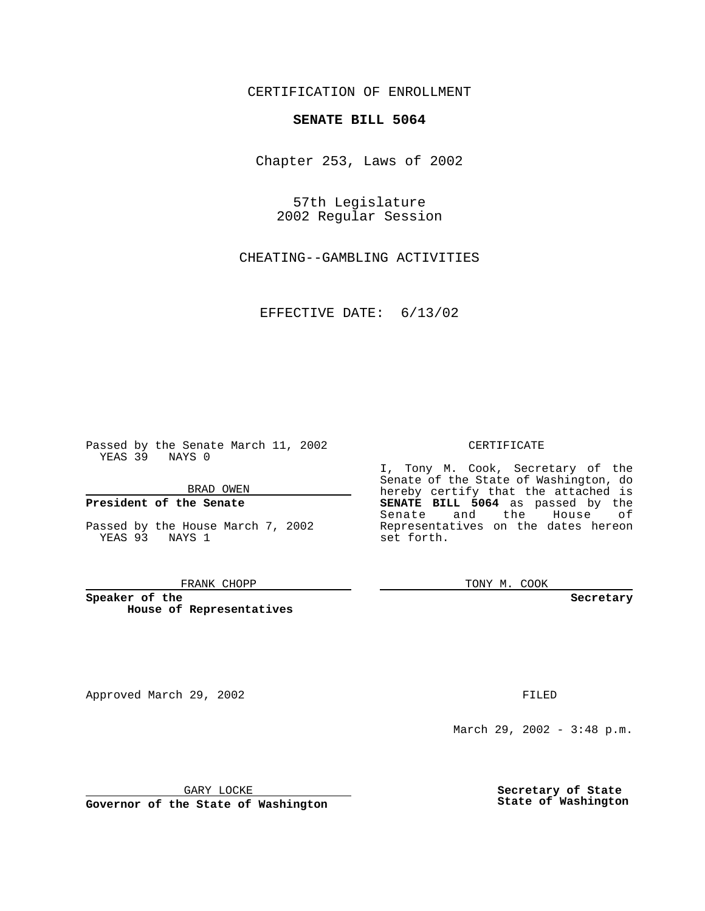CERTIFICATION OF ENROLLMENT

# **SENATE BILL 5064**

Chapter 253, Laws of 2002

57th Legislature 2002 Regular Session

CHEATING--GAMBLING ACTIVITIES

EFFECTIVE DATE: 6/13/02

Passed by the Senate March 11, 2002 YEAS 39 NAYS 0

BRAD OWEN

## **President of the Senate**

Passed by the House March 7, 2002 YEAS 93 NAYS 1

#### FRANK CHOPP

**Speaker of the House of Representatives**

Approved March 29, 2002 **FILED** 

#### CERTIFICATE

I, Tony M. Cook, Secretary of the Senate of the State of Washington, do hereby certify that the attached is **SENATE BILL 5064** as passed by the Senate and the House of Representatives on the dates hereon set forth.

TONY M. COOK

**Secretary**

March 29, 2002 - 3:48 p.m.

GARY LOCKE

**Governor of the State of Washington**

**Secretary of State State of Washington**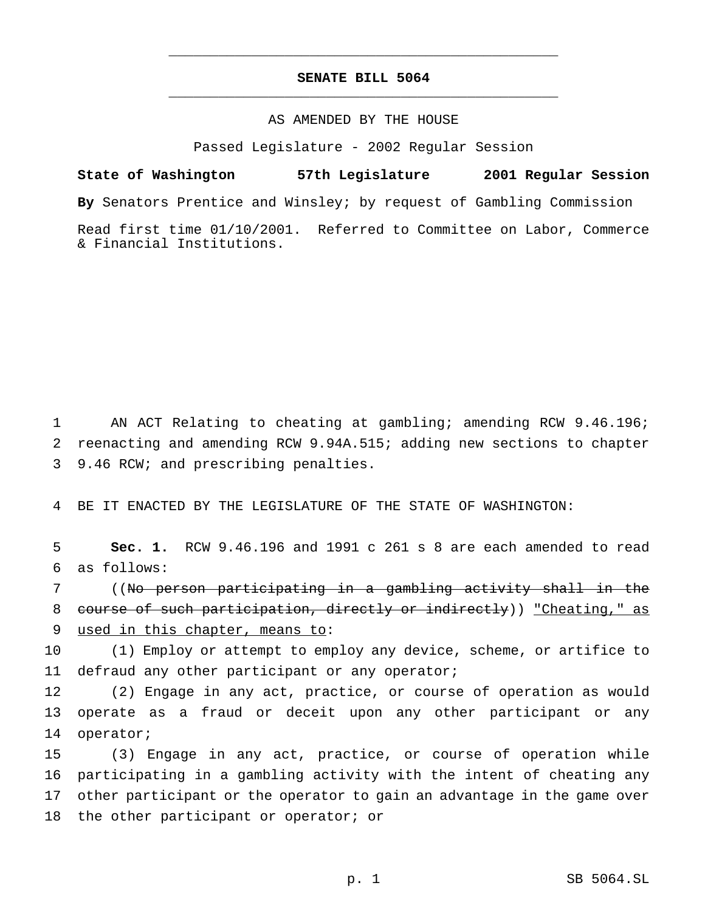# **SENATE BILL 5064** \_\_\_\_\_\_\_\_\_\_\_\_\_\_\_\_\_\_\_\_\_\_\_\_\_\_\_\_\_\_\_\_\_\_\_\_\_\_\_\_\_\_\_\_\_\_\_

\_\_\_\_\_\_\_\_\_\_\_\_\_\_\_\_\_\_\_\_\_\_\_\_\_\_\_\_\_\_\_\_\_\_\_\_\_\_\_\_\_\_\_\_\_\_\_

## AS AMENDED BY THE HOUSE

Passed Legislature - 2002 Regular Session

**State of Washington 57th Legislature 2001 Regular Session By** Senators Prentice and Winsley; by request of Gambling Commission Read first time 01/10/2001. Referred to Committee on Labor, Commerce & Financial Institutions.

1 AN ACT Relating to cheating at gambling; amending RCW 9.46.196; 2 reenacting and amending RCW 9.94A.515; adding new sections to chapter 3 9.46 RCW; and prescribing penalties.

4 BE IT ENACTED BY THE LEGISLATURE OF THE STATE OF WASHINGTON:

5 **Sec. 1.** RCW 9.46.196 and 1991 c 261 s 8 are each amended to read 6 as follows:

7 ((No person participating in a gambling activity shall in the 8 course of such participation, directly or indirectly)) "Cheating," as 9 used in this chapter, means to:

10 (1) Employ or attempt to employ any device, scheme, or artifice to 11 defraud any other participant or any operator;

12 (2) Engage in any act, practice, or course of operation as would 13 operate as a fraud or deceit upon any other participant or any 14 operator;

 (3) Engage in any act, practice, or course of operation while participating in a gambling activity with the intent of cheating any other participant or the operator to gain an advantage in the game over 18 the other participant or operator; or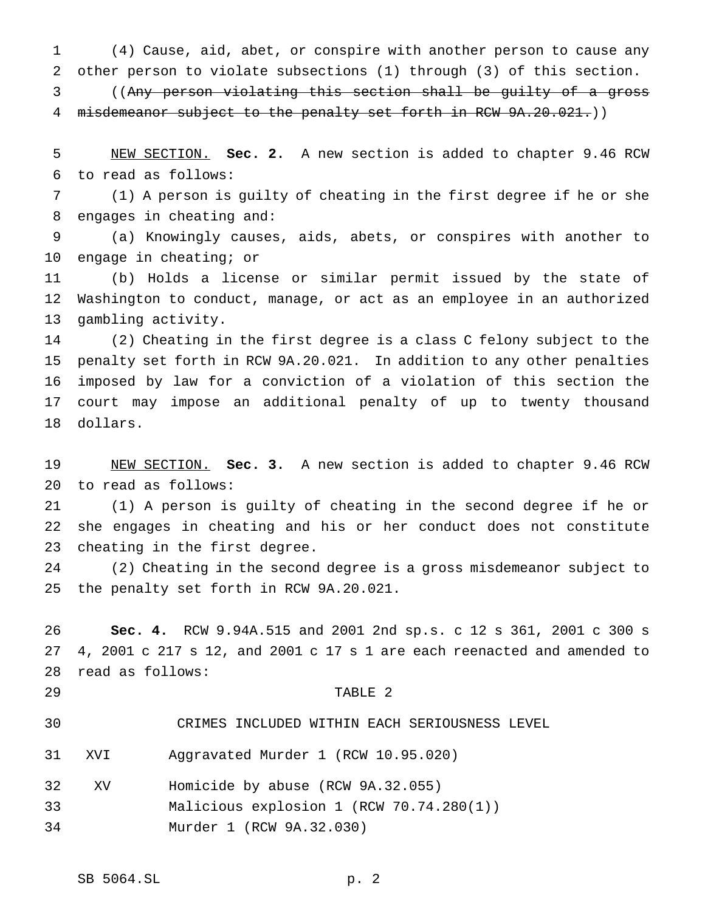(4) Cause, aid, abet, or conspire with another person to cause any other person to violate subsections (1) through (3) of this section.

 ((Any person violating this section shall be guilty of a gross 4 misdemeanor subject to the penalty set forth in RCW 9A.20.021.))

 NEW SECTION. **Sec. 2.** A new section is added to chapter 9.46 RCW to read as follows:

 (1) A person is guilty of cheating in the first degree if he or she engages in cheating and:

 (a) Knowingly causes, aids, abets, or conspires with another to engage in cheating; or

 (b) Holds a license or similar permit issued by the state of Washington to conduct, manage, or act as an employee in an authorized gambling activity.

 (2) Cheating in the first degree is a class C felony subject to the penalty set forth in RCW 9A.20.021. In addition to any other penalties imposed by law for a conviction of a violation of this section the court may impose an additional penalty of up to twenty thousand dollars.

 NEW SECTION. **Sec. 3.** A new section is added to chapter 9.46 RCW to read as follows:

 (1) A person is guilty of cheating in the second degree if he or she engages in cheating and his or her conduct does not constitute cheating in the first degree.

 (2) Cheating in the second degree is a gross misdemeanor subject to the penalty set forth in RCW 9A.20.021.

 **Sec. 4.** RCW 9.94A.515 and 2001 2nd sp.s. c 12 s 361, 2001 c 300 s 4, 2001 c 217 s 12, and 2001 c 17 s 1 are each reenacted and amended to read as follows:

### TABLE 2

CRIMES INCLUDED WITHIN EACH SERIOUSNESS LEVEL

XVI Aggravated Murder 1 (RCW 10.95.020)

- XV Homicide by abuse (RCW 9A.32.055)
- Malicious explosion 1 (RCW 70.74.280(1))

Murder 1 (RCW 9A.32.030)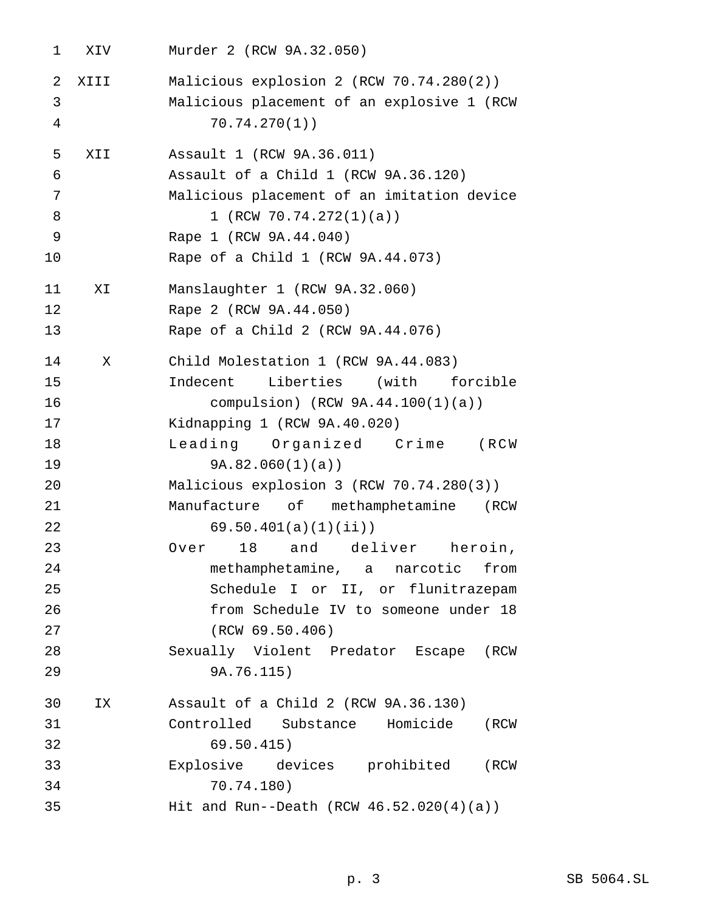XIV Murder 2 (RCW 9A.32.050) XIII Malicious explosion 2 (RCW 70.74.280(2)) Malicious placement of an explosive 1 (RCW 70.74.270(1)) XII Assault 1 (RCW 9A.36.011) Assault of a Child 1 (RCW 9A.36.120) Malicious placement of an imitation device 8 1 (RCW 70.74.272(1)(a)) Rape 1 (RCW 9A.44.040) Rape of a Child 1 (RCW 9A.44.073) XI Manslaughter 1 (RCW 9A.32.060) Rape 2 (RCW 9A.44.050) Rape of a Child 2 (RCW 9A.44.076) X Child Molestation 1 (RCW 9A.44.083) Indecent Liberties (with forcible compulsion) (RCW 9A.44.100(1)(a)) Kidnapping 1 (RCW 9A.40.020) Leading Organized Crime (RCW 9A.82.060(1)(a)) Malicious explosion 3 (RCW 70.74.280(3)) Manufacture of methamphetamine (RCW 69.50.401(a)(1)(ii)) Over 18 and deliver heroin, methamphetamine, a narcotic from Schedule I or II, or flunitrazepam from Schedule IV to someone under 18 (RCW 69.50.406) Sexually Violent Predator Escape (RCW 9A.76.115) IX Assault of a Child 2 (RCW 9A.36.130) Controlled Substance Homicide (RCW 69.50.415) Explosive devices prohibited (RCW 70.74.180) Hit and Run--Death (RCW 46.52.020(4)(a))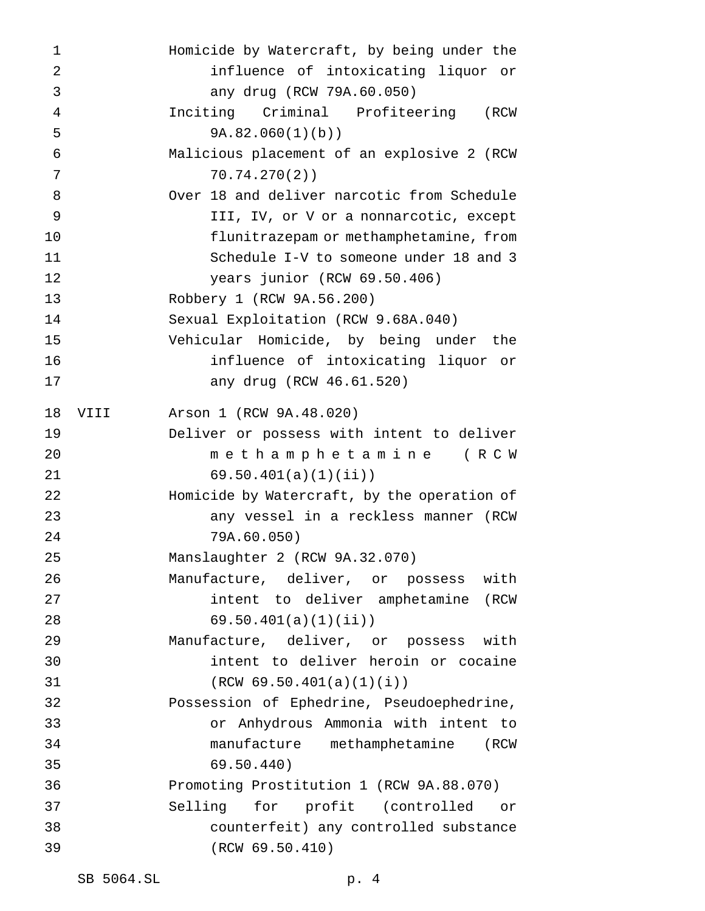| 1              |      | Homicide by Watercraft, by being under the  |
|----------------|------|---------------------------------------------|
| $\overline{2}$ |      | influence of intoxicating liquor or         |
| 3              |      | any drug (RCW 79A.60.050)                   |
| 4              |      | Inciting Criminal Profiteering (RCW         |
| 5              |      | 9A.82.060(1)(b)                             |
| 6              |      | Malicious placement of an explosive 2 (RCW  |
| 7              |      | 70.74.270(2)                                |
| 8              |      | Over 18 and deliver narcotic from Schedule  |
| 9              |      | III, IV, or V or a nonnarcotic, except      |
| 10             |      | flunitrazepam or methamphetamine, from      |
| 11             |      | Schedule I-V to someone under 18 and 3      |
| 12             |      | years junior (RCW 69.50.406)                |
| 13             |      | Robbery 1 (RCW 9A.56.200)                   |
| 14             |      | Sexual Exploitation (RCW 9.68A.040)         |
| 15             |      | Vehicular Homicide, by being under the      |
| 16             |      | influence of intoxicating liquor or         |
| 17             |      | any drug (RCW 46.61.520)                    |
| 18             | VIII | Arson 1 (RCW 9A.48.020)                     |
| 19             |      | Deliver or possess with intent to deliver   |
| 20             |      | methamphetamine (RCW                        |
| 21             |      | 69.50.401(a)(1)(ii)                         |
| 22             |      | Homicide by Watercraft, by the operation of |
| 23             |      | any vessel in a reckless manner (RCW        |
| 24             |      | 79A.60.050)                                 |
| 25             |      | Manslaughter 2 (RCW 9A.32.070)              |
| 26             |      | Manufacture, deliver, or possess with       |
| 27             |      | intent to deliver amphetamine (RCW          |
| 28             |      | 69.50.401(a)(1)(ii)                         |
| 29             |      | Manufacture, deliver, or possess with       |
| 30             |      | intent to deliver heroin or cocaine         |
| 31             |      | (RCW 69.50.401(a)(1)(i))                    |
| 32             |      | Possession of Ephedrine, Pseudoephedrine,   |
| 33             |      | or Anhydrous Ammonia with intent to         |
| 34             |      | manufacture methamphetamine (RCW            |
| 35             |      | 69.50.440)                                  |
| 36             |      | Promoting Prostitution 1 (RCW 9A.88.070)    |
| 37             |      | Selling for profit (controlled<br>or —      |
| 38             |      | counterfeit) any controlled substance       |
| 39             |      | (RCW 69.50.410)                             |
|                |      |                                             |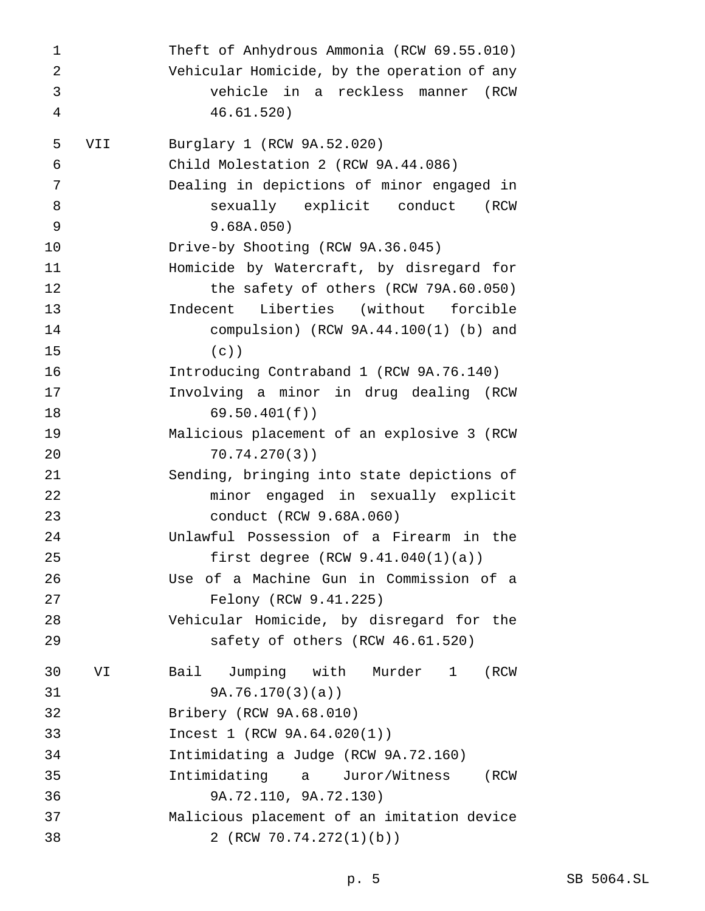Theft of Anhydrous Ammonia (RCW 69.55.010) Vehicular Homicide, by the operation of any vehicle in a reckless manner (RCW 46.61.520) VII Burglary 1 (RCW 9A.52.020) Child Molestation 2 (RCW 9A.44.086) Dealing in depictions of minor engaged in sexually explicit conduct (RCW 9.68A.050) Drive-by Shooting (RCW 9A.36.045) Homicide by Watercraft, by disregard for the safety of others (RCW 79A.60.050) Indecent Liberties (without forcible compulsion) (RCW 9A.44.100(1) (b) and (c)) Introducing Contraband 1 (RCW 9A.76.140) Involving a minor in drug dealing (RCW 69.50.401(f)) Malicious placement of an explosive 3 (RCW 70.74.270(3)) Sending, bringing into state depictions of minor engaged in sexually explicit conduct (RCW 9.68A.060) Unlawful Possession of a Firearm in the first degree (RCW 9.41.040(1)(a)) Use of a Machine Gun in Commission of a Felony (RCW 9.41.225) Vehicular Homicide, by disregard for the safety of others (RCW 46.61.520) VI Bail Jumping with Murder 1 (RCW 9A.76.170(3)(a)) Bribery (RCW 9A.68.010) Incest 1 (RCW 9A.64.020(1)) Intimidating a Judge (RCW 9A.72.160) Intimidating a Juror/Witness (RCW 9A.72.110, 9A.72.130) Malicious placement of an imitation device 2 (RCW 70.74.272(1)(b))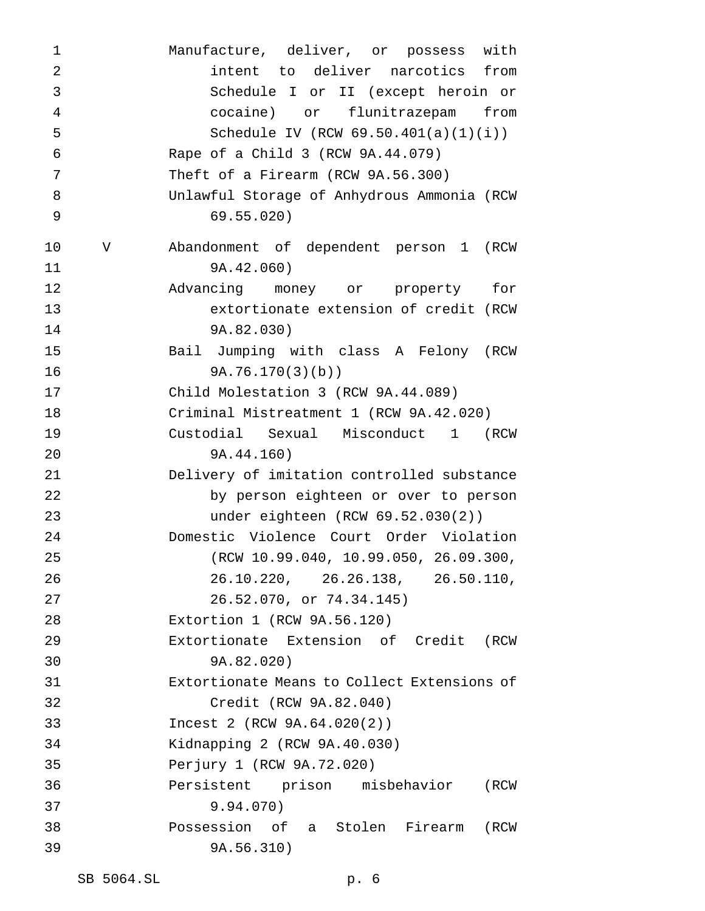| $\mathbf 1$    |   | Manufacture, deliver, or possess with       |
|----------------|---|---------------------------------------------|
| $\overline{2}$ |   | intent to deliver narcotics from            |
| 3              |   | Schedule I or II (except heroin or          |
| 4              |   | cocaine) or<br>flunitrazepam from           |
| 5              |   | Schedule IV (RCW $69.50.401(a)(1)(i)$ )     |
| 6              |   | Rape of a Child 3 (RCW 9A.44.079)           |
| 7              |   | Theft of a Firearm (RCW 9A.56.300)          |
| 8              |   | Unlawful Storage of Anhydrous Ammonia (RCW  |
| 9              |   | 69.55.020)                                  |
| 10             | V | Abandonment of dependent person 1 (RCW      |
| 11             |   | 9A.42.060)                                  |
| 12             |   | Advancing money or property<br>for          |
| 13             |   | extortionate extension of credit (RCW       |
| 14             |   | 9A.82.030)                                  |
| 15             |   | Bail Jumping with class A Felony (RCW       |
| 16             |   | 9A.76.170(3)(b)                             |
| 17             |   | Child Molestation 3 (RCW 9A.44.089)         |
| 18             |   | Criminal Mistreatment 1 (RCW 9A.42.020)     |
| 19             |   | Custodial Sexual Misconduct 1 (RCW          |
| 20             |   | 9A.44.160)                                  |
| 21             |   | Delivery of imitation controlled substance  |
| 22             |   | by person eighteen or over to person        |
| 23             |   | under eighteen (RCW 69.52.030(2))           |
| 24             |   | Domestic Violence Court Order Violation     |
| 25             |   | (RCW 10.99.040, 10.99.050, 26.09.300,       |
| 26             |   | 26.10.220, 26.26.138, 26.50.110,            |
| 27             |   | 26.52.070, or 74.34.145)                    |
| 28             |   | Extortion 1 (RCW 9A.56.120)                 |
| 29             |   | Extortionate Extension of Credit<br>(RCW    |
| 30             |   | 9A.82.020)                                  |
| 31             |   | Extortionate Means to Collect Extensions of |
| 32             |   | Credit (RCW 9A.82.040)                      |
| 33             |   | Incest 2 (RCW 9A.64.020(2))                 |
| 34             |   | Kidnapping 2 (RCW 9A.40.030)                |
| 35             |   | Perjury 1 (RCW 9A.72.020)                   |
| 36             |   | Persistent prison misbehavior<br>(RCW       |
| 37             |   | 9.94.070)                                   |
| 38             |   | Possession of a Stolen Firearm<br>(RCW      |
| 39             |   | 9A.56.310)                                  |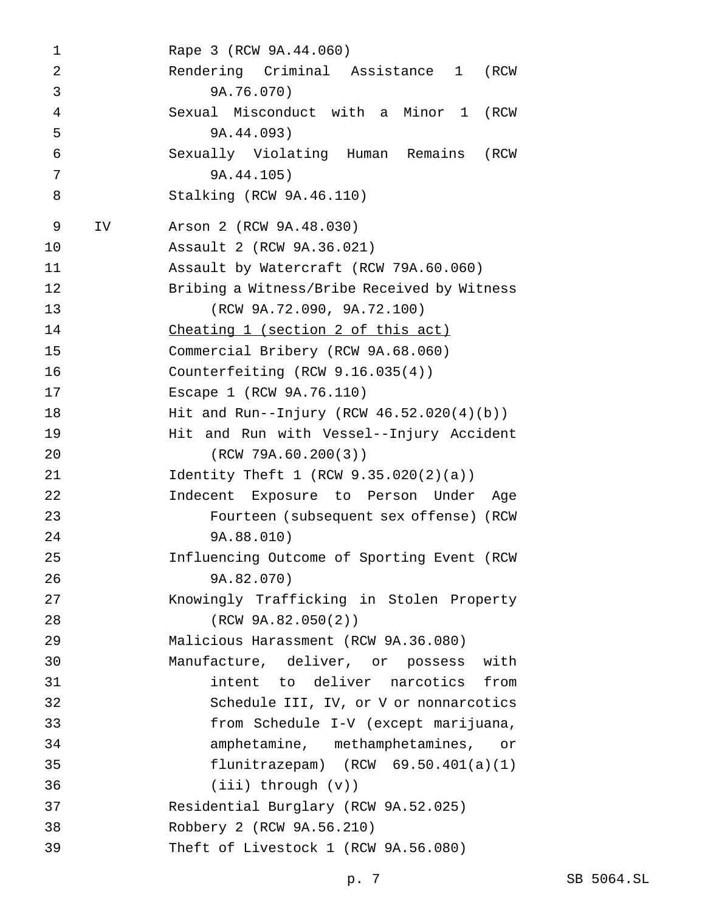Rape 3 (RCW 9A.44.060) Rendering Criminal Assistance 1 (RCW 9A.76.070) Sexual Misconduct with a Minor 1 (RCW 9A.44.093) Sexually Violating Human Remains (RCW 9A.44.105) Stalking (RCW 9A.46.110) IV Arson 2 (RCW 9A.48.030) Assault 2 (RCW 9A.36.021) Assault by Watercraft (RCW 79A.60.060) Bribing a Witness/Bribe Received by Witness (RCW 9A.72.090, 9A.72.100) Cheating 1 (section 2 of this act) Commercial Bribery (RCW 9A.68.060) Counterfeiting (RCW 9.16.035(4)) Escape 1 (RCW 9A.76.110) Hit and Run--Injury (RCW 46.52.020(4)(b)) Hit and Run with Vessel--Injury Accident (RCW 79A.60.200(3)) Identity Theft 1 (RCW 9.35.020(2)(a)) Indecent Exposure to Person Under Age Fourteen (subsequent sex offense) (RCW 9A.88.010) Influencing Outcome of Sporting Event (RCW 9A.82.070) Knowingly Trafficking in Stolen Property (RCW 9A.82.050(2)) Malicious Harassment (RCW 9A.36.080) Manufacture, deliver, or possess with intent to deliver narcotics from Schedule III, IV, or V or nonnarcotics from Schedule I-V (except marijuana, amphetamine, methamphetamines, or flunitrazepam) (RCW 69.50.401(a)(1) (iii) through (v)) Residential Burglary (RCW 9A.52.025) Robbery 2 (RCW 9A.56.210) Theft of Livestock 1 (RCW 9A.56.080)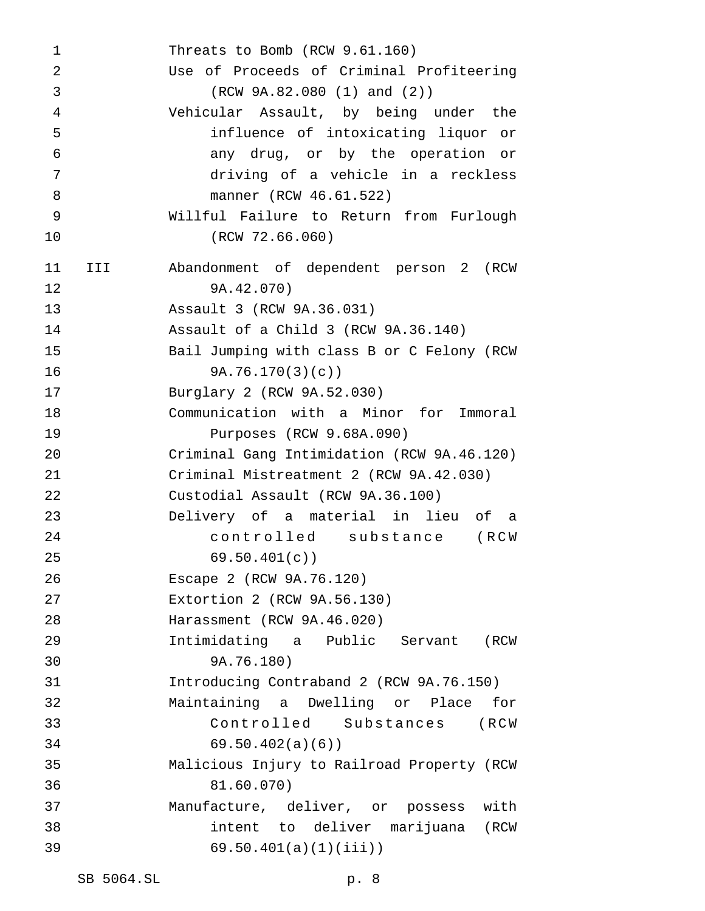Threats to Bomb (RCW 9.61.160) Use of Proceeds of Criminal Profiteering (RCW 9A.82.080 (1) and (2)) Vehicular Assault, by being under the influence of intoxicating liquor or any drug, or by the operation or driving of a vehicle in a reckless manner (RCW 46.61.522) Willful Failure to Return from Furlough (RCW 72.66.060) III Abandonment of dependent person 2 (RCW 9A.42.070) Assault 3 (RCW 9A.36.031) Assault of a Child 3 (RCW 9A.36.140) Bail Jumping with class B or C Felony (RCW 9A.76.170(3)(c)) Burglary 2 (RCW 9A.52.030) Communication with a Minor for Immoral Purposes (RCW 9.68A.090) Criminal Gang Intimidation (RCW 9A.46.120) Criminal Mistreatment 2 (RCW 9A.42.030) Custodial Assault (RCW 9A.36.100) Delivery of a material in lieu of a controlled substance (RCW 69.50.401(c)) Escape 2 (RCW 9A.76.120) Extortion 2 (RCW 9A.56.130) Harassment (RCW 9A.46.020) Intimidating a Public Servant (RCW 9A.76.180) Introducing Contraband 2 (RCW 9A.76.150) Maintaining a Dwelling or Place for Controlled Substances (RCW 69.50.402(a)(6)) Malicious Injury to Railroad Property (RCW 81.60.070) Manufacture, deliver, or possess with intent to deliver marijuana (RCW 69.50.401(a)(1)(iii))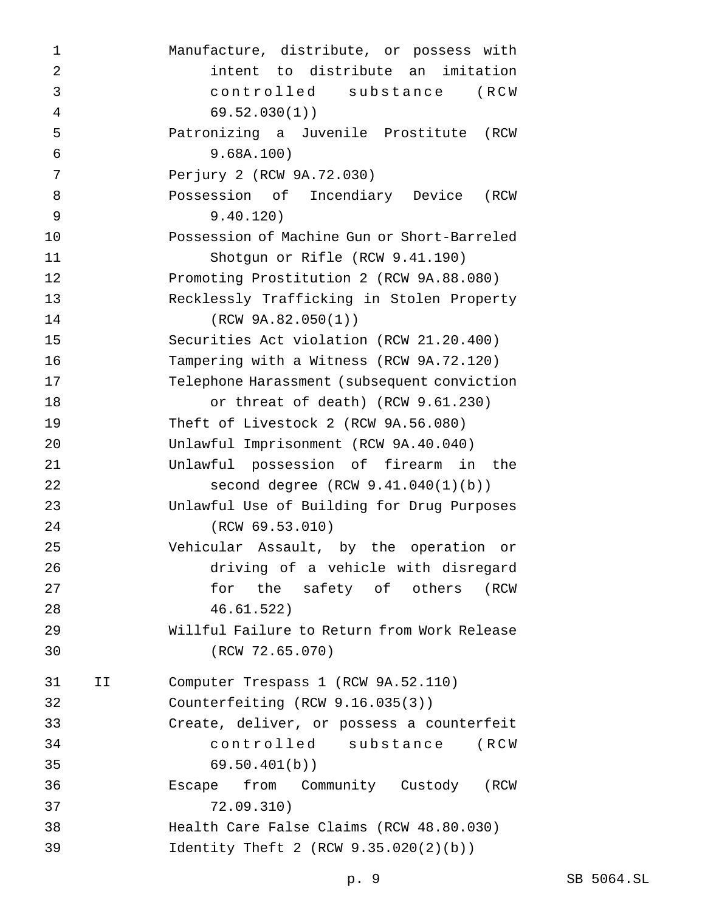| 1              |    | Manufacture, distribute, or possess with    |
|----------------|----|---------------------------------------------|
| $\overline{2}$ |    | intent to distribute an imitation           |
| 3              |    | controlled substance<br>(RCW                |
| $\overline{4}$ |    | 69.52.030(1)                                |
| 5              |    | Patronizing a Juvenile Prostitute<br>(RCW   |
| 6              |    | 9.68A.100)                                  |
| 7              |    | Perjury 2 (RCW 9A.72.030)                   |
| 8              |    | Possession of Incendiary Device<br>(RCW     |
| 9              |    | 9.40.120)                                   |
| 10             |    | Possession of Machine Gun or Short-Barreled |
| 11             |    | Shotgun or Rifle (RCW 9.41.190)             |
| 12             |    | Promoting Prostitution 2 (RCW 9A.88.080)    |
| 13             |    | Recklessly Trafficking in Stolen Property   |
| 14             |    | (RCW 9A.82.050(1))                          |
| 15             |    | Securities Act violation (RCW 21.20.400)    |
| 16             |    | Tampering with a Witness (RCW 9A.72.120)    |
| 17             |    | Telephone Harassment (subsequent conviction |
| 18             |    | or threat of death) (RCW 9.61.230)          |
| 19             |    | Theft of Livestock 2 (RCW 9A.56.080)        |
| 20             |    | Unlawful Imprisonment (RCW 9A.40.040)       |
| 21             |    | Unlawful possession of firearm in the       |
| 22             |    | second degree $(RCW 9.41.040(1)(b))$        |
| 23             |    | Unlawful Use of Building for Drug Purposes  |
| 24             |    | (RCW 69.53.010)                             |
| 25             |    | Vehicular Assault, by the operation<br>Оr   |
| 26             |    | driving of a vehicle with disregard         |
| 27             |    | the safety of others<br>for<br>(RCW         |
| 28             |    | 46.61.522)                                  |
| 29             |    | Willful Failure to Return from Work Release |
| 30             |    | (RCW 72.65.070)                             |
| 31             | IJ | Computer Trespass 1 (RCW 9A.52.110)         |
| 32             |    | Counterfeiting $(RCW 9.16.035(3))$          |
| 33             |    | Create, deliver, or possess a counterfeit   |
| 34             |    | controlled substance (RCW                   |
| 35             |    | 69.50.401(b)                                |
| 36             |    | Escape from Community Custody (RCW          |
| 37             |    | 72.09.310)                                  |
| 38             |    | Health Care False Claims (RCW 48.80.030)    |
| 39             |    | Identity Theft 2 (RCW $9.35.020(2)(b)$ )    |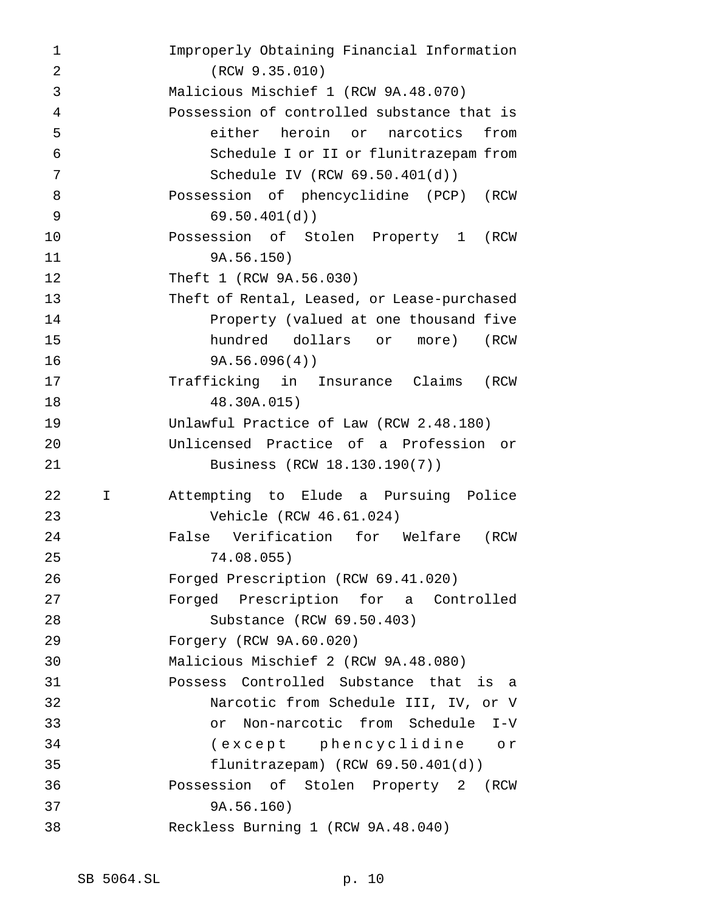| 1              |    | Improperly Obtaining Financial Information  |
|----------------|----|---------------------------------------------|
| $\overline{2}$ |    | (RCW 9.35.010)                              |
| 3              |    | Malicious Mischief 1 (RCW 9A.48.070)        |
| 4              |    | Possession of controlled substance that is  |
| 5              |    | either heroin or narcotics<br>from          |
| 6              |    | Schedule I or II or flunitrazepam from      |
| 7              |    | Schedule IV (RCW $69.50.401(d)$ )           |
| 8              |    | Possession of phencyclidine (PCP) (RCW      |
| 9              |    | 69.50.401(d)                                |
| 10             |    | Possession of Stolen Property 1 (RCW        |
| 11             |    | 9A.56.150)                                  |
| 12             |    | Theft 1 (RCW 9A.56.030)                     |
| 13             |    | Theft of Rental, Leased, or Lease-purchased |
| 14             |    | Property (valued at one thousand five       |
| 15             |    | hundred dollars or more)<br>(RCW            |
| 16             |    | 9A.56.096(4)                                |
| 17             |    | Trafficking in Insurance Claims (RCW        |
| 18             |    | 48.30A.015)                                 |
| 19             |    | Unlawful Practice of Law (RCW 2.48.180)     |
| 20             |    | Unlicensed Practice of a Profession or      |
| 21             |    | Business (RCW 18.130.190(7))                |
| 22             | I. | Attempting to Elude a Pursuing Police       |
| 23             |    | Vehicle (RCW 46.61.024)                     |
| 24             |    | False Verification for Welfare<br>(RCW      |
| 25             |    | 74.08.055)                                  |
| 26             |    | Forged Prescription (RCW 69.41.020)         |
| 27             |    | Forged Prescription for a Controlled        |
| 28             |    | Substance (RCW 69.50.403)                   |
| 29             |    | Forgery (RCW 9A.60.020)                     |
| 30             |    | Malicious Mischief 2 (RCW 9A.48.080)        |
| 31             |    | Possess Controlled Substance that is a      |
| 32             |    | Narcotic from Schedule III, IV, or V        |
| 33             |    | Non-narcotic from Schedule I-V<br>or        |
| 34             |    | (except phencyclidine or                    |
| 35             |    | flunitrazepam) $(RCW 69.50.401(d))$         |
| 36             |    | Possession of Stolen Property 2 (RCW        |
| 37             |    | 9A.56.160)                                  |
| 38             |    | Reckless Burning 1 (RCW 9A.48.040)          |